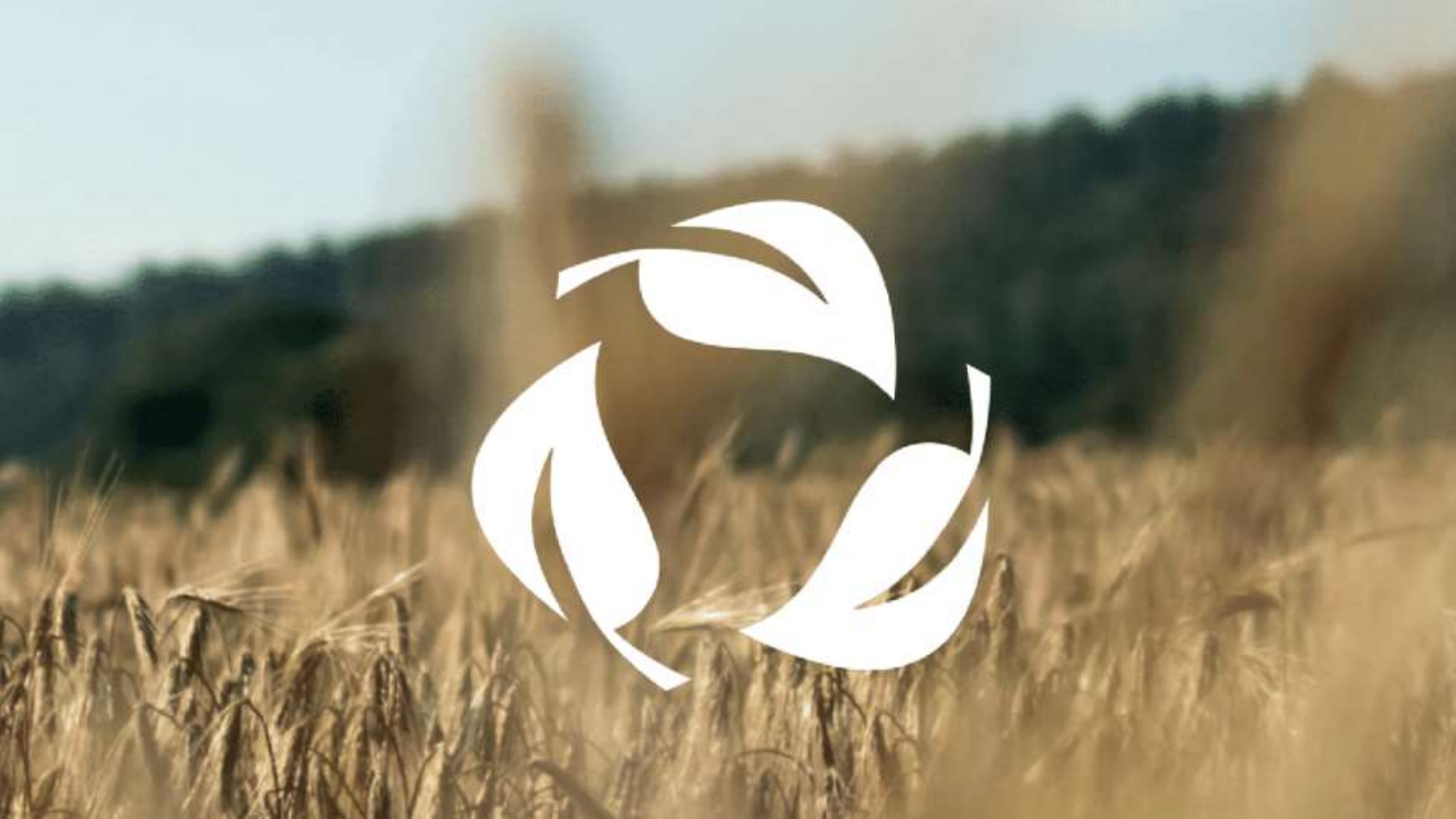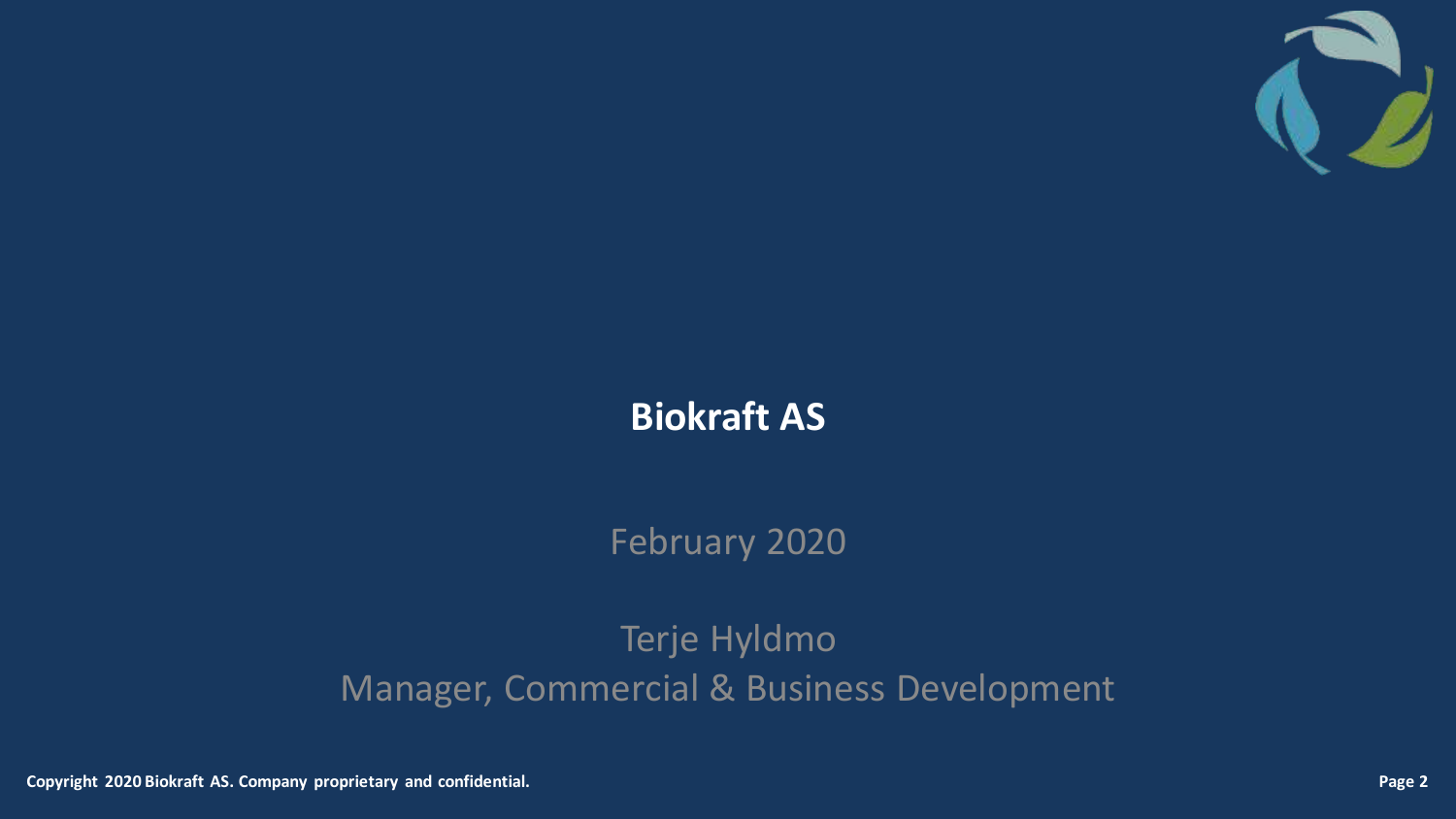

### **Biokraft AS**

February 2020

Terje Hyldmo Manager, Commercial & Business Development

**Copyright 2020 Biokraft AS. Company proprietary and confidential. Page 2**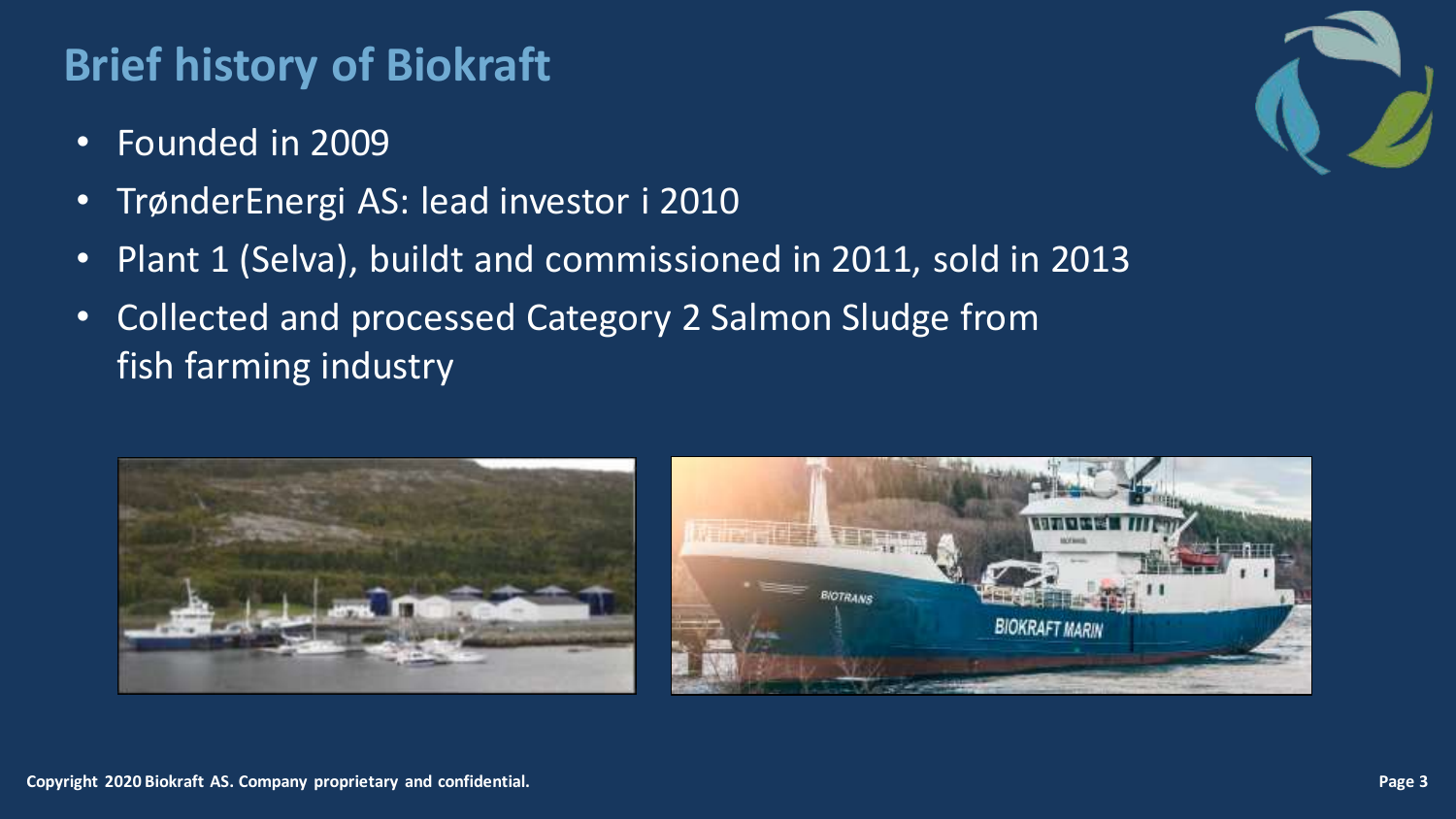## **Brief history of Biokraft**

- Founded in 2009
- TrønderEnergi AS: lead investor i 2010
- Plant 1 (Selva), buildt and commissioned in 2011, sold in 2013
- Collected and processed Category 2 Salmon Sludge from fish farming industry





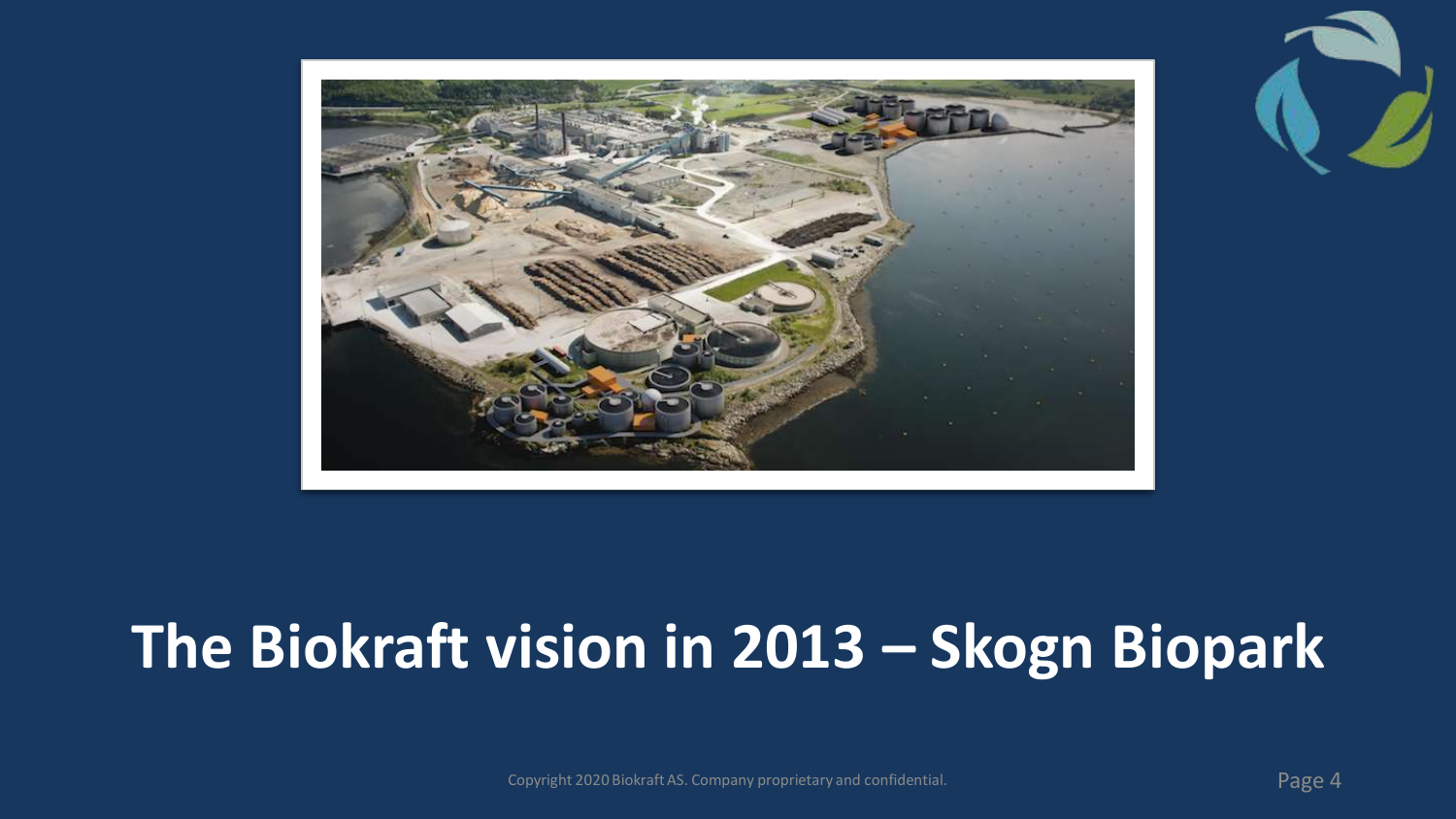



# **The Biokraft vision in 2013 – Skogn Biopark**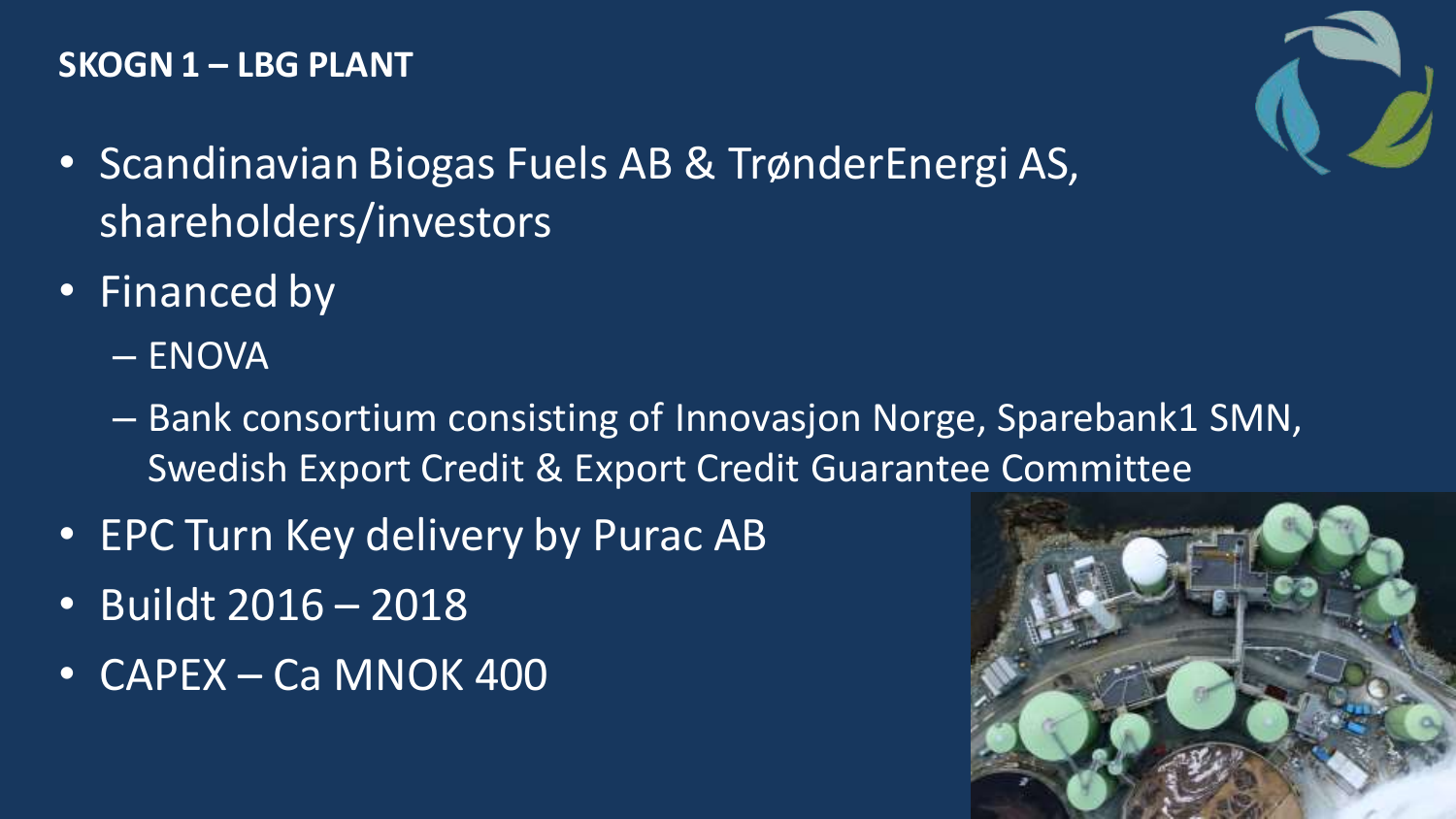#### **SKOGN 1 – LBG PLANT**



- Scandinavian Biogas Fuels AB & TrønderEnergi AS, shareholders/investors
- Financed by
	- ENOVA
	- Bank consortium consisting of Innovasjon Norge, Sparebank1 SMN, Swedish Export Credit & Export Credit Guarantee Committee
- EPC Turn Key delivery by Purac AB
- Buildt 2016 2018
- CAPEX Ca MNOK 400

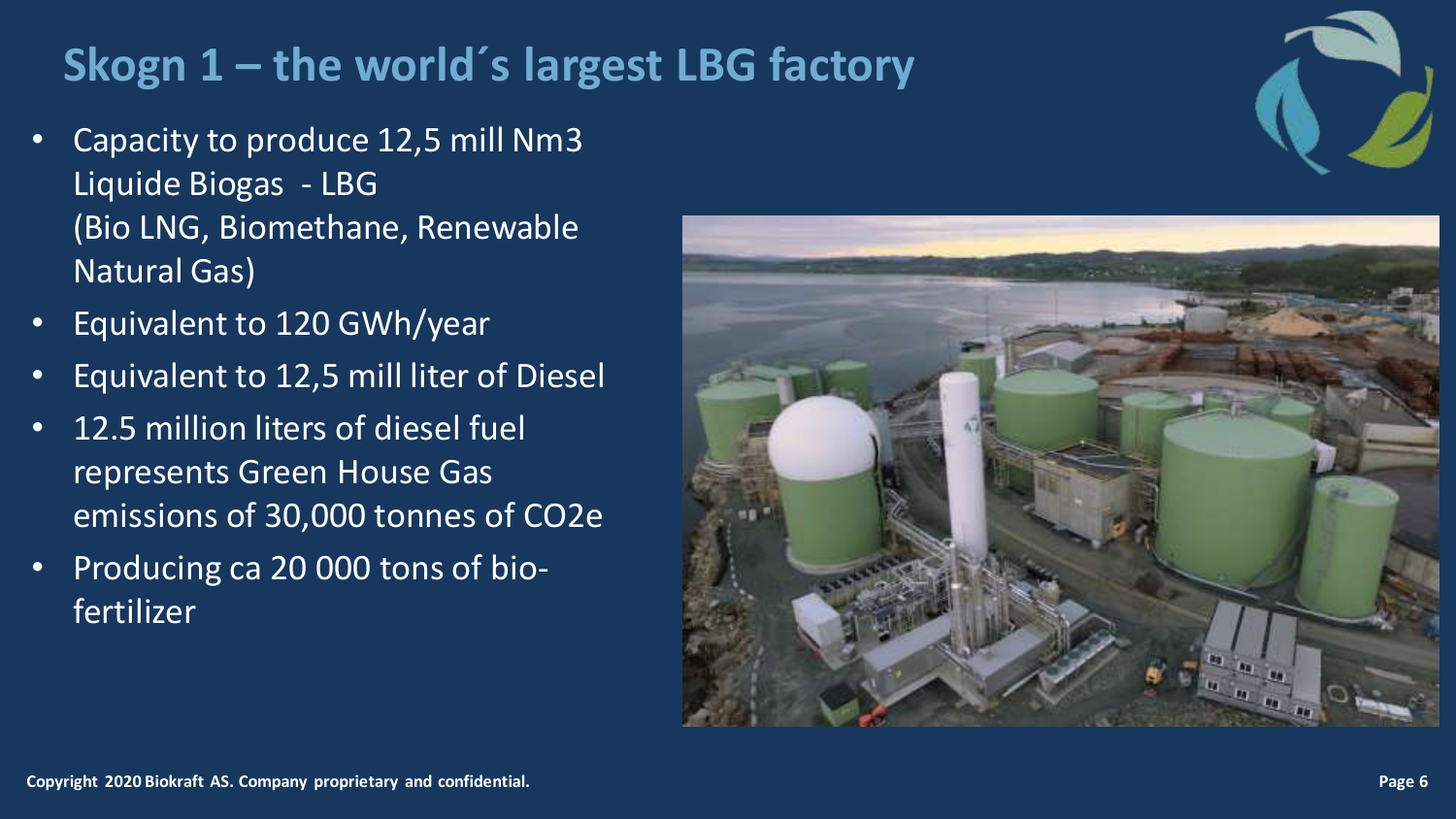## **Skogn 1 – the world´s largest LBG factory**

- Capacity to produce 12,5 mill Nm3 Liquide Biogas - LBG (Bio LNG, Biomethane, Renewable Natural Gas)
- Equivalent to 120 GWh/year
- Equivalent to 12,5 mill liter of Diesel
- 12.5 million liters of diesel fuel represents Green House Gas emissions of 30,000 tonnes of CO2e
- Producing ca 20 000 tons of biofertilizer

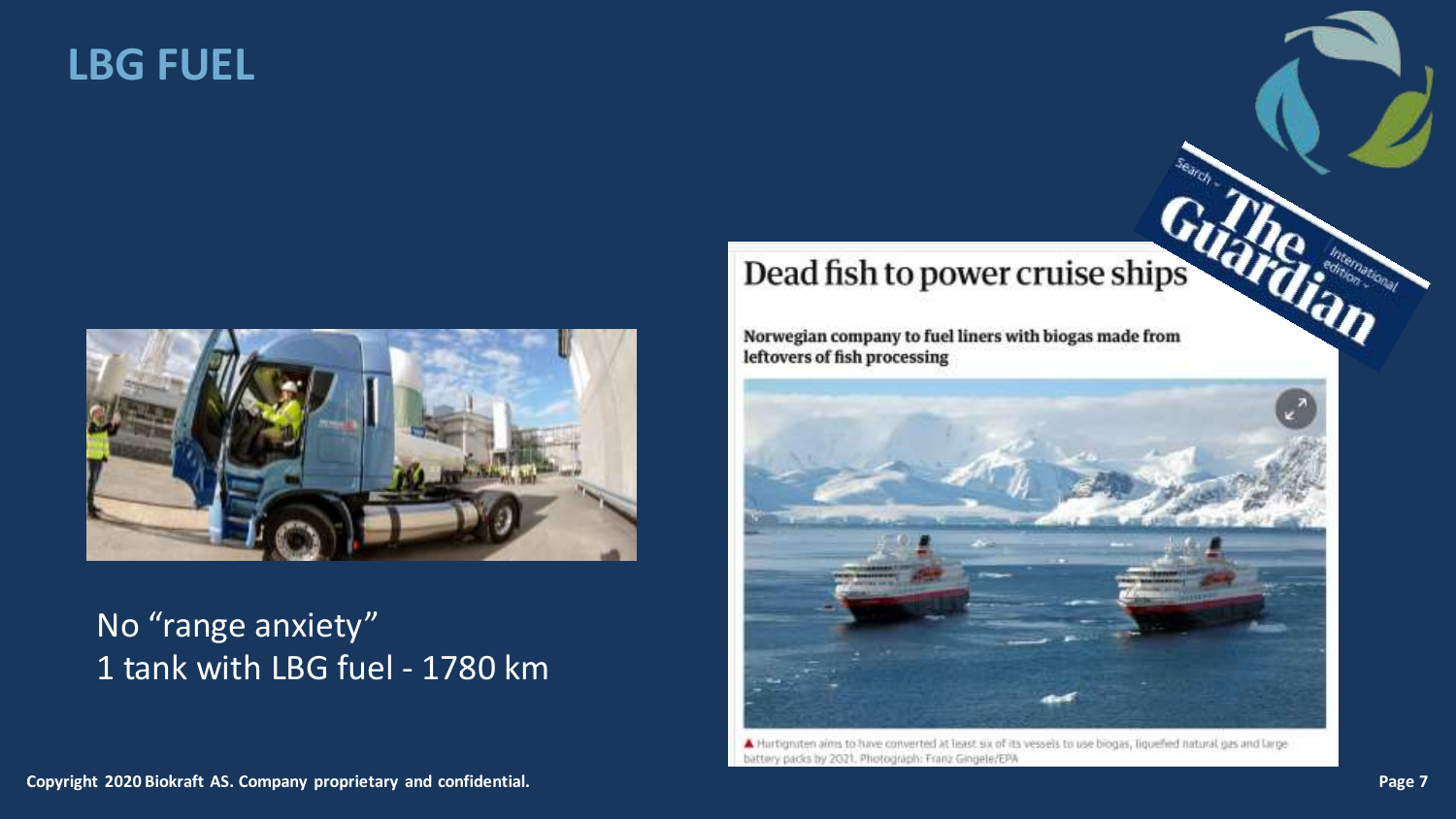## **LBG FUEL**



#### No "range anxiety" 1 tank with LBG fuel - 1780 km

#### Dead fish to power cruise ships

Norwegian company to fuel liners with biogas made from leftovers of fish processing



A Hurtignoten aims to have converted at least six of its vessels to use biogas, liquefied natural gas and large battery packs by 2021. Photograph: Franz Gingele/EPA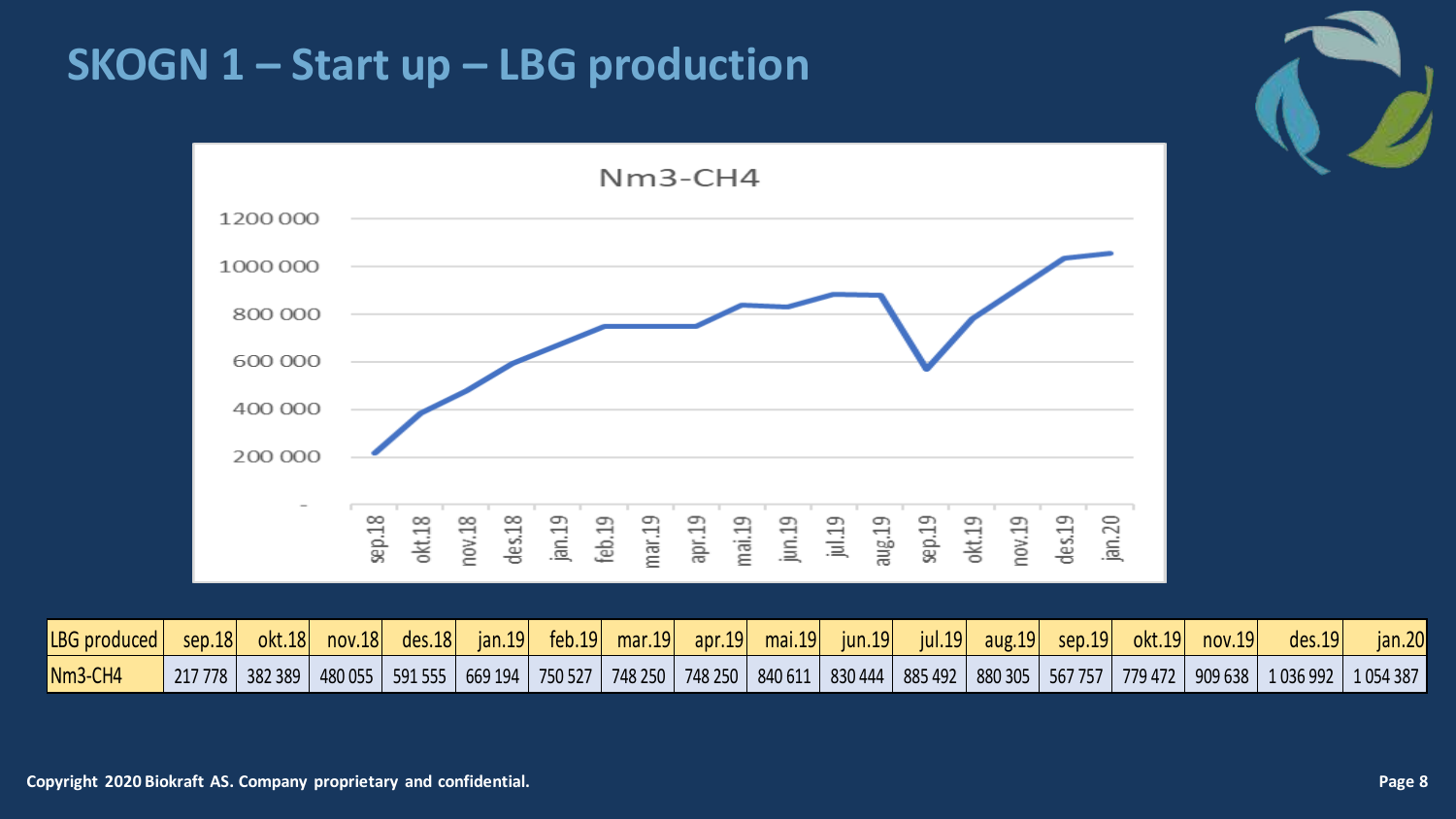## **SKOGN 1 – Start up – LBG production**



| LBG produced   sep.18   okt.18   nov.18   des.18   jan.19   feb.19   mar.19   apr.19   mai.19   jun.19   jul.19   aug.19   sep.19   okt.19   nov.19 |  |  |  |  |  |  |  | $\text{des.}19$                                                                                                                                                             | jan.20 |
|-----------------------------------------------------------------------------------------------------------------------------------------------------|--|--|--|--|--|--|--|-----------------------------------------------------------------------------------------------------------------------------------------------------------------------------|--------|
| Nm3-CH4                                                                                                                                             |  |  |  |  |  |  |  | 217 778   382 389   480 055   591 555   669 194   750 527   748 250   748 250   840 611   830 444   885 492   880 305   567 757   779 472   909 638   1 036 992   1 054 387 |        |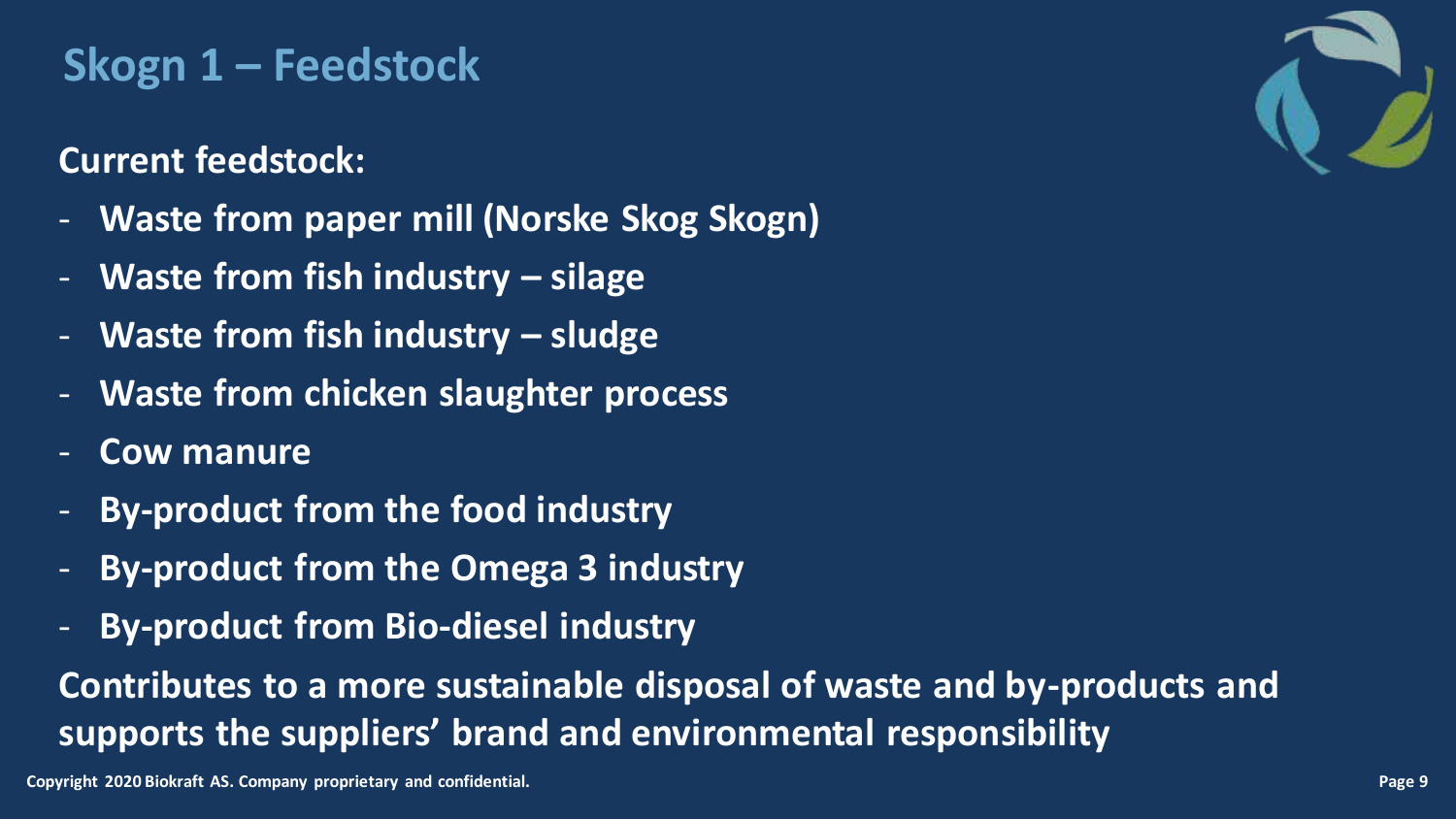## **Skogn 1 – Feedstock**

#### **Current feedstock:**

- **Waste from paper mill (Norske Skog Skogn)**
- **Waste from fish industry – silage**
- **Waste from fish industry – sludge**
- **Waste from chicken slaughter process**
- **Cow manure**
- **By-product from the food industry**
- **By-product from the Omega 3 industry**
- **By-product from Bio-diesel industry**

**Contributes to a more sustainable disposal of waste and by-products and supports the suppliers' brand and environmental responsibility**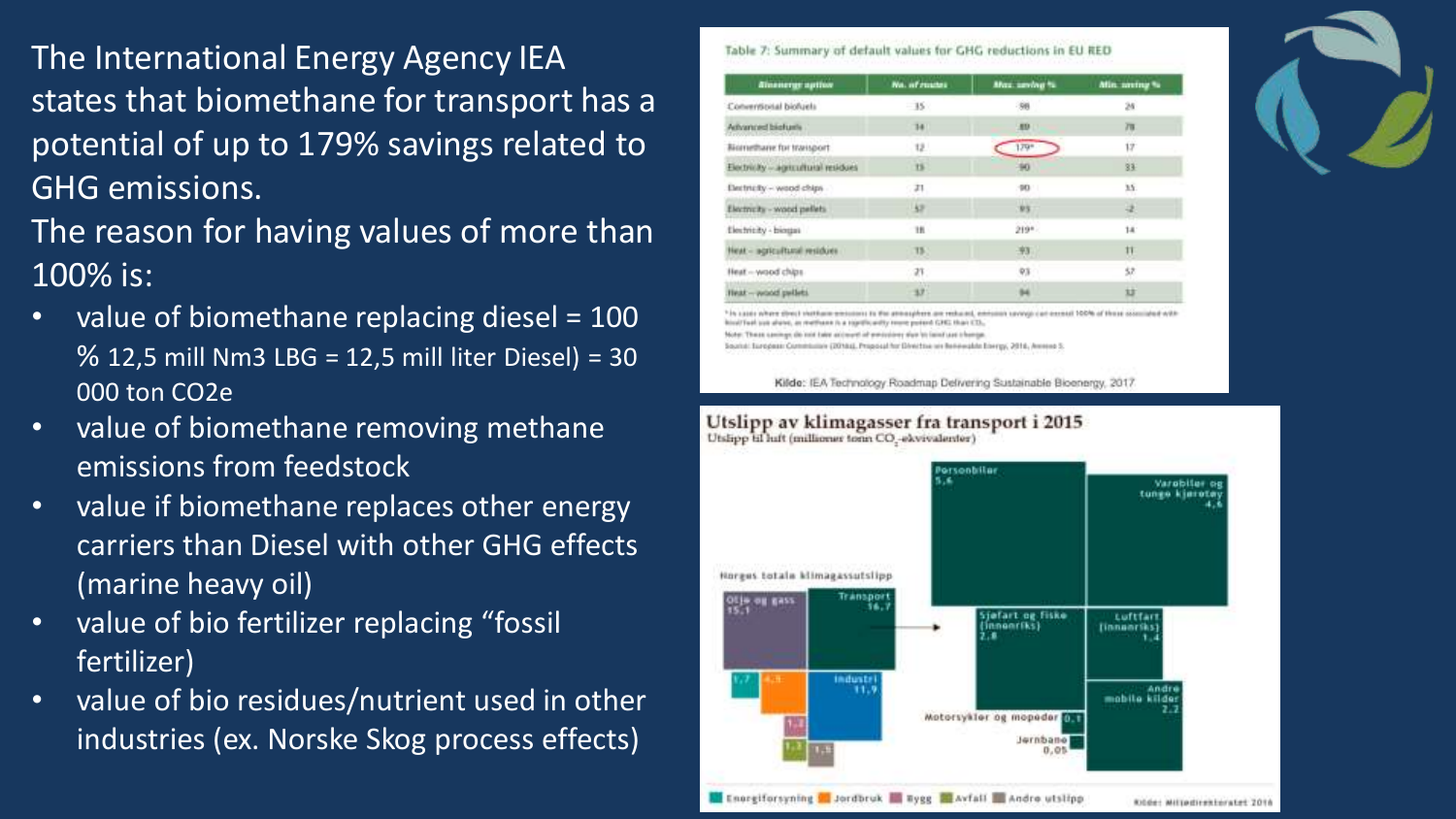The International Energy Agency IEA states that biomethane for transport has a potential of up to 179% savings related to GHG emissions.

The reason for having values of more than 100% is:

- value of biomethane replacing diesel = 100 % 12,5 mill Nm3 LBG = 12,5 mill liter Diesel) = 30 000 ton CO2e
- value of biomethane removing methane emissions from feedstock
- value if biomethane replaces other energy carriers than Diesel with other GHG effects (marine heavy oil)
- value of bio fertilizer replacing "fossil" fertilizer)
- value of bio residues/nutrient used in other industries (ex. Norske Skog process effects)

Table 7: Summary of default values for GHG reductions in EU RED

| <b>Binenergy spilos</b>             | No. of routes   | Max.undag % | Atla_naving % |
|-------------------------------------|-----------------|-------------|---------------|
| Convertibutal biofuels              | $-15$           | -98         | 26            |
| Advanced biofunk                    | 381             | <b>AD</b>   | 78            |
| Biomethane for transport            | 12              | 179°        | íΫ            |
| Electricity - agricultural residues | 13 <sup>°</sup> | 90          | 33            |
| Electricity - wood chips            | 21              | $90 -$      | M.            |
| Electricity - wood pellets          | 149             | 1/3         | $\frac{1}{2}$ |
| flechicity - biogas                 | <b>TR</b>       | 219*        | 14            |
| Heat - agricultural residues        | 75.             | $-93$       | Ħ             |
| Heat - wood chips                   | 23              | 93          | 52            |
| Heat - wood pellets                 | 33.7            | 94          | 迂             |

asphers are reduced, existent seventician excess 150Ms of three occasions with tour fust you alway, as mathere is a reading afty room potent CHC than CDL.

Note: These canings do not take account of emissions also in issuitant shange

Southt: European Commission (2016)]. Proposal for Directive on Bennedde Energy, 2014, Awaren S.

Kilde: IEA Technology Roadmap Delivering Sustainable Bioenergy, 2017.

#### Utslipp av klimagasser fra transport i 2015 Utslipp til luft (millioner tonn CO -ekvivalenter)



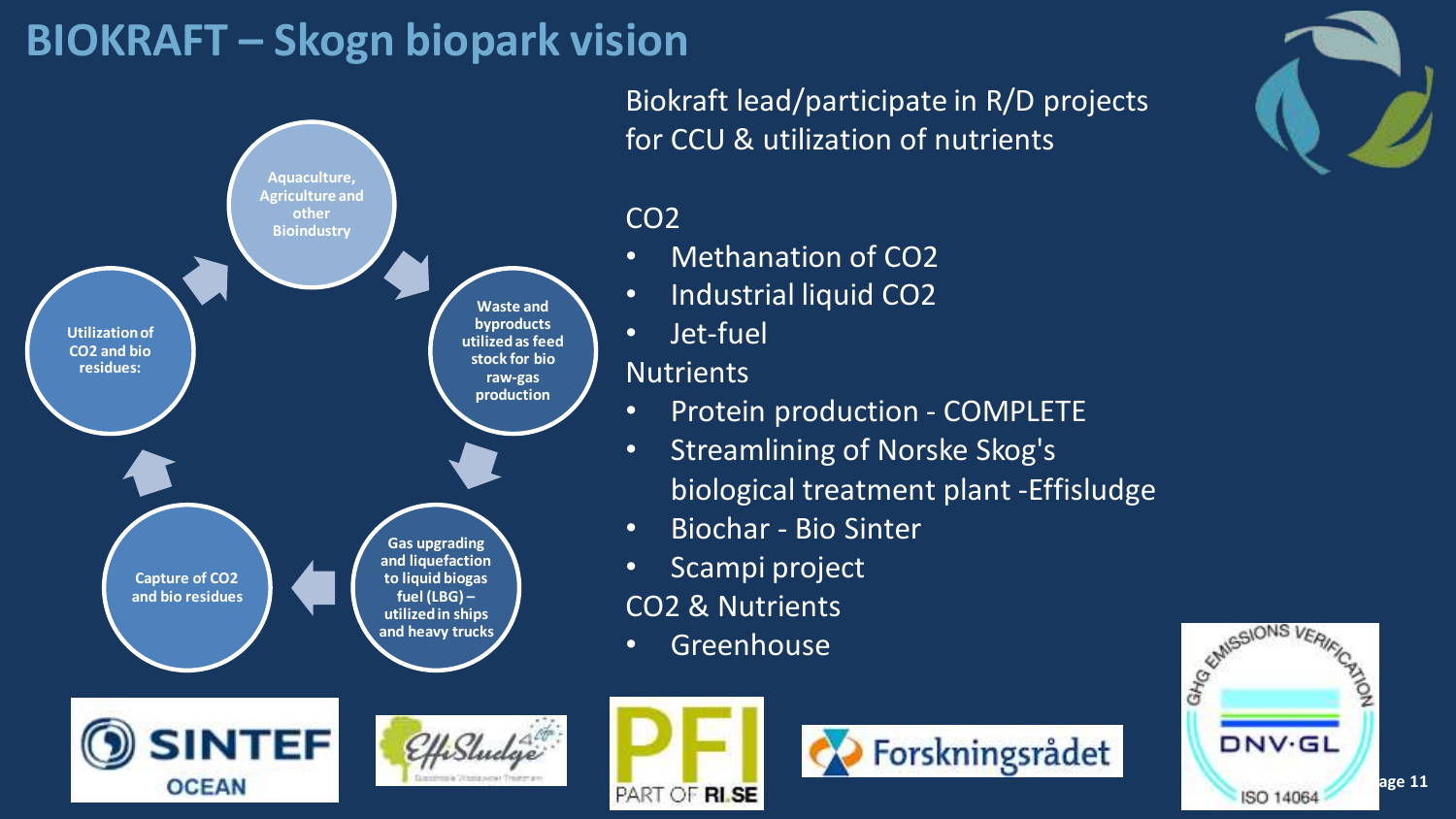## **BIOKRAFT – Skogn biopark vision**



**OCEAN** 

Biokraft lead/participate in R/D projects for CCU & utilization of nutrients

#### CO2

- Methanation of CO2
- Industrial liquid CO2
- Jet-fuel

#### **Nutrients**

- Protein production COMPLETE
- Streamlining of Norske Skog's biological treatment plant -Effisludge
- Biochar Bio Sinter
- Scampi project CO2 & Nutrients
- Greenhouse







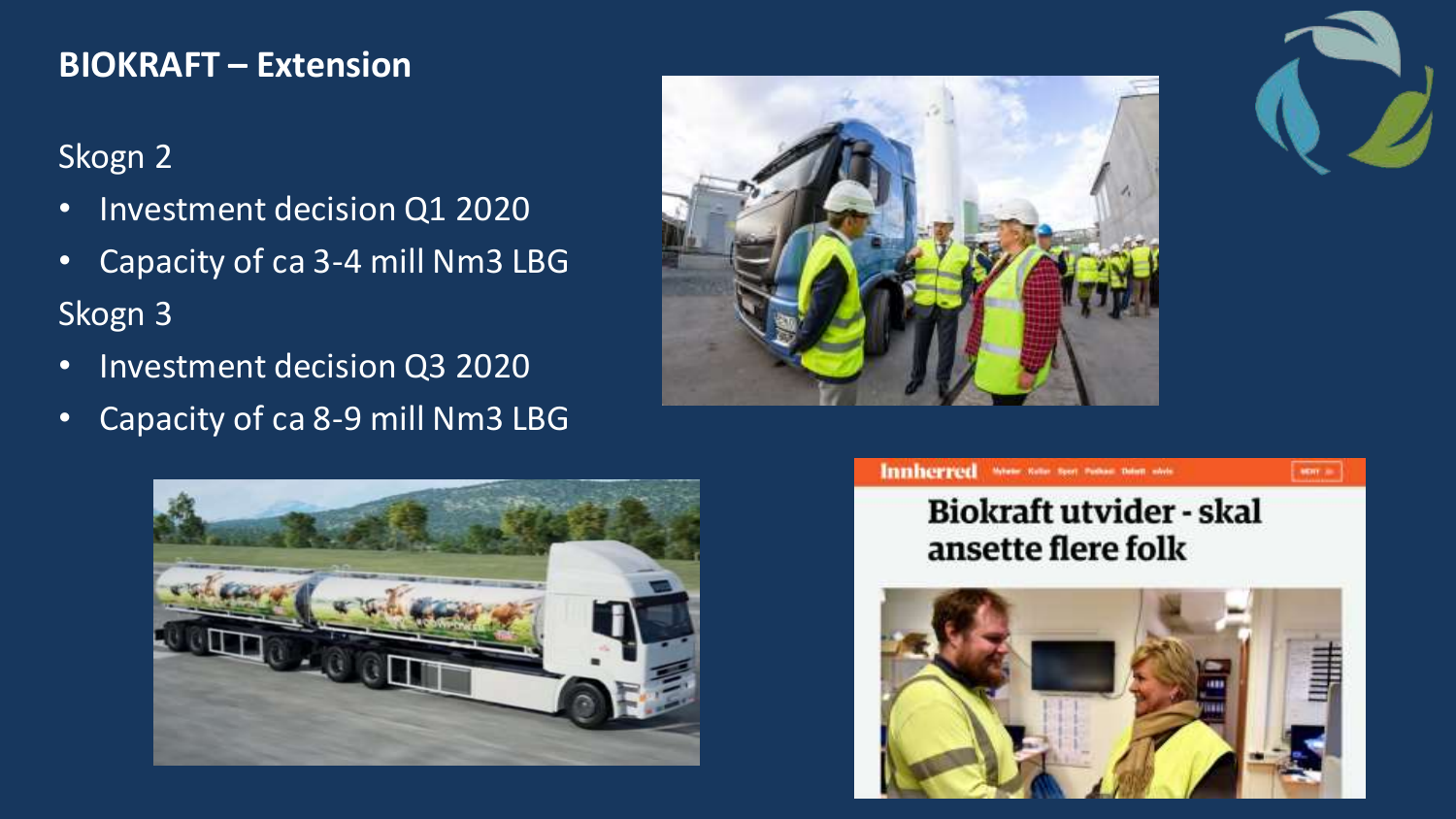#### **BIOKRAFT – Extension**

#### Skogn 2

- Investment decision Q1 2020
- Capacity of ca 3-4 mill Nm3 LBG Skogn 3
- Investment decision Q3 2020
- Capacity of ca 8-9 mill Nm3 LBG









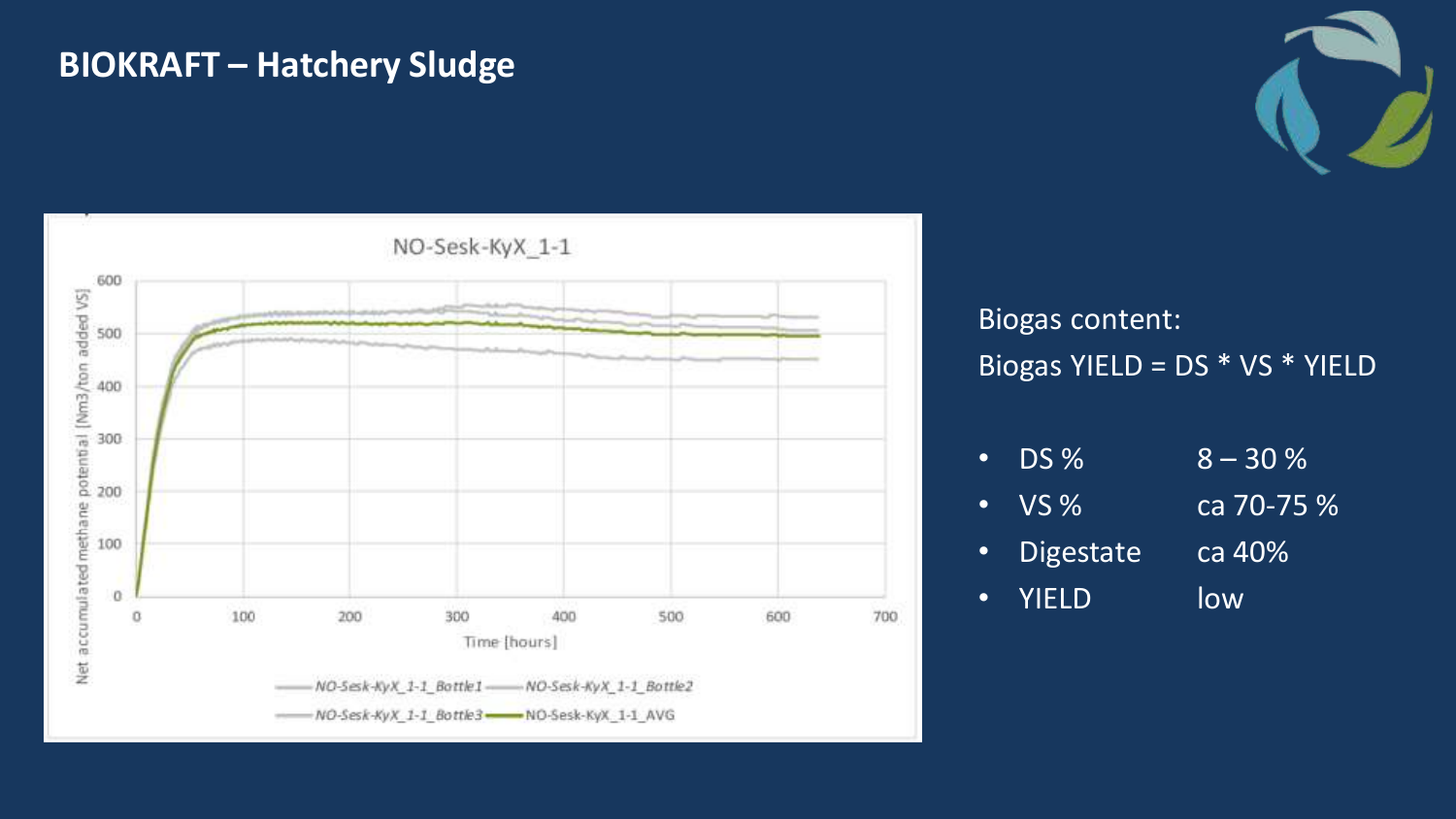#### **BIOKRAFT – Hatchery Sludge**





Biogas content: Biogas YIELD = DS \* VS \* YIELD

- $DS %$  8 30 %
- VS % ca 70-75 %
- Digestate ca 40%
- YIELD low